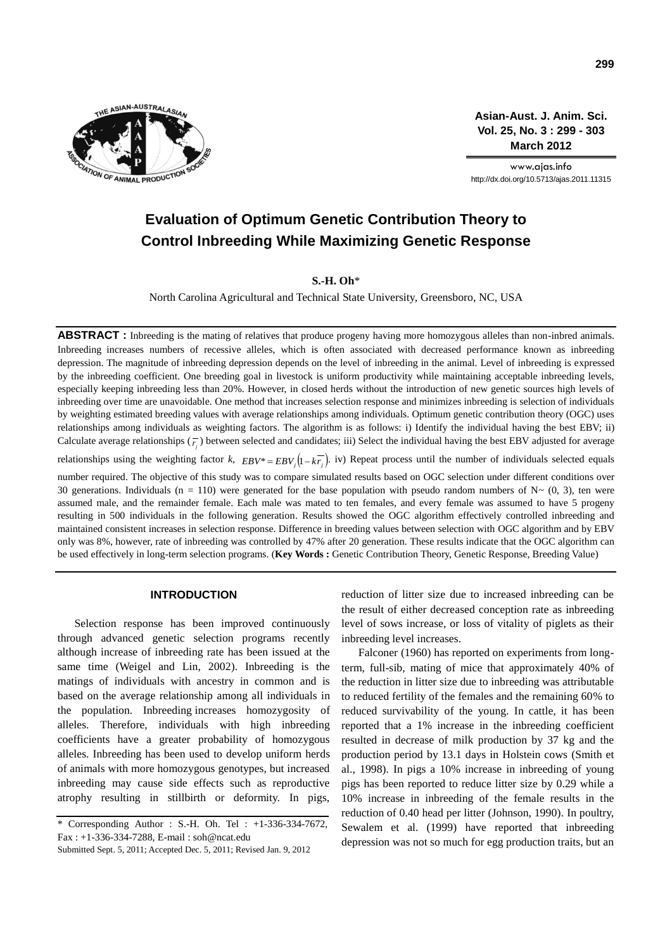

**Asian-Aust. J. Anim. Sci. Vol. 25, No. 3 : 299 - 303 March 2012**

www.ajas.info http://dx.doi.org/10.5713/ajas.2011.11315

# **Evaluation of Optimum Genetic Contribution Theory to Control Inbreeding While Maximizing Genetic Response**

**S.-H. Oh**\*

North Carolina Agricultural and Technical State University, Greensboro, NC, USA

**ABSTRACT :** Inbreeding is the mating of relatives that produce progeny having more homozygous alleles than non-inbred animals. Inbreeding increases numbers of recessive alleles, which is often associated with decreased performance known as inbreeding depression. The magnitude of inbreeding depression depends on the level of inbreeding in the animal. Level of inbreeding is expressed by the inbreeding coefficient. One breeding goal in livestock is uniform productivity while maintaining acceptable inbreeding levels, especially keeping inbreeding less than 20%. However, in closed herds without the introduction of new genetic sources high levels of inbreeding over time are unavoidable. One method that increases selection response and minimizes inbreeding is selection of individuals by weighting estimated breeding values with average relationships among individuals. Optimum genetic contribution theory (OGC) uses relationships among individuals as weighting factors. The algorithm is as follows: i) Identify the individual having the best EBV; ii) Calculate average relationships  $(\overline{r_j})$  between selected and candidates; iii) Select the individual having the best EBV adjusted for average relationships using the weighting factor *k*,  $EBV^* = EBV_j(1 - kT_j)$ . iv) Repeat process until the number of individuals selected equals number required. The objective of this study was to compare simulated results based on OGC selection under different conditions over 30 generations. Individuals (n = 110) were generated for the base population with pseudo random numbers of  $N \sim (0, 3)$ , ten were assumed male, and the remainder female. Each male was mated to ten females, and every female was assumed to have 5 progeny resulting in 500 individuals in the following generation. Results showed the OGC algorithm effectively controlled inbreeding and maintained consistent increases in selection response. Difference in breeding values between selection with OGC algorithm and by EBV only was 8%, however, rate of inbreeding was controlled by 47% after 20 generation. These results indicate that the OGC algorithm can be used effectively in long-term selection programs. (**Key Words :** Genetic Contribution Theory, Genetic Response, Breeding Value)

#### **INTRODUCTION**

Selection response has been improved continuously through advanced genetic selection programs recently although increase of inbreeding rate has been issued at the same time (Weigel and Lin, 2002). Inbreeding is the matings of individuals with ancestry in common and is based on the average relationship among all individuals in the population. Inbreeding increases homozygosity of alleles. Therefore, individuals with high inbreeding coefficients have a greater probability of homozygous alleles. Inbreeding has been used to develop uniform herds of animals with more homozygous genotypes, but increased inbreeding may cause side effects such as reproductive atrophy resulting in stillbirth or deformity. In pigs,

reduction of litter size due to increased inbreeding can be the result of either decreased conception rate as inbreeding level of sows increase, or loss of vitality of piglets as their inbreeding level increases.

Falconer (1960) has reported on experiments from longterm, full-sib, mating of mice that approximately 40% of the reduction in litter size due to inbreeding was attributable to reduced fertility of the females and the remaining 60% to reduced survivability of the young. In cattle, it has been reported that a 1% increase in the inbreeding coefficient resulted in decrease of milk production by 37 kg and the production period by 13.1 days in Holstein cows (Smith et al., 1998). In pigs a 10% increase in inbreeding of young pigs has been reported to reduce litter size by 0.29 while a 10% increase in inbreeding of the female results in the reduction of 0.40 head per litter (Johnson, 1990). In poultry, Sewalem et al. (1999) have reported that inbreeding depression was not so much for egg production traits, but an

<sup>\*</sup> Corresponding Author : S.-H. Oh. Tel : +1-336-334-7672, Fax : +1-336-334-7288, E-mail : soh@ncat.edu

Submitted Sept. 5, 2011; Accepted Dec. 5, 2011; Revised Jan. 9, 2012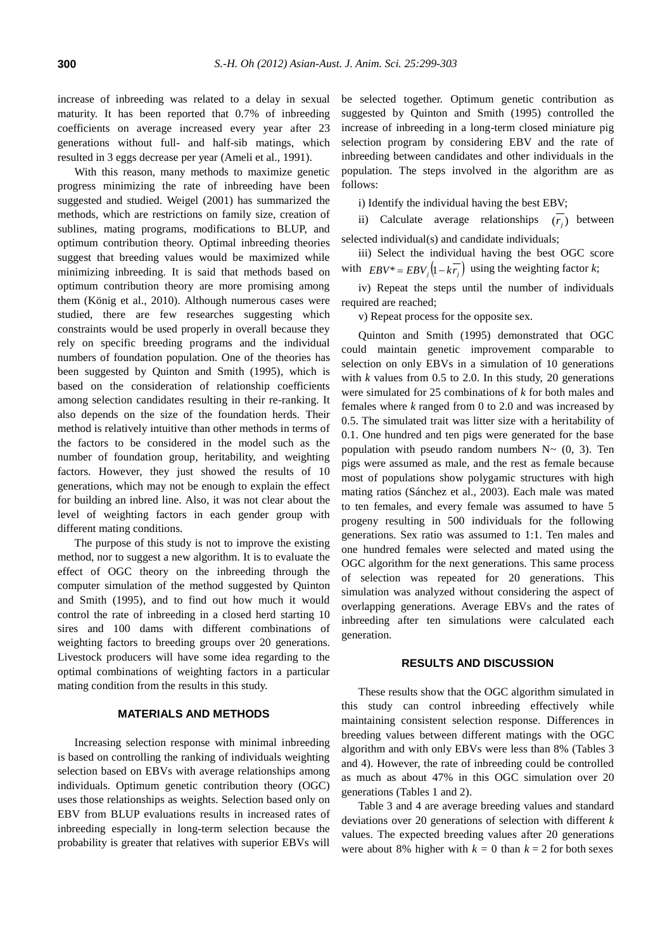increase of inbreeding was related to a delay in sexual maturity. It has been reported that 0.7% of inbreeding coefficients on average increased every year after 23 generations without full- and half-sib matings, which resulted in 3 eggs decrease per year (Ameli et al., 1991).

With this reason, many methods to maximize genetic progress minimizing the rate of inbreeding have been suggested and studied. Weigel (2001) has summarized the methods, which are restrictions on family size, creation of sublines, mating programs, modifications to BLUP, and optimum contribution theory. Optimal inbreeding theories suggest that breeding values would be maximized while minimizing inbreeding. It is said that methods based on optimum contribution theory are more promising among them (König et al., 2010). Although numerous cases were studied, there are few researches suggesting which constraints would be used properly in overall because they rely on specific breeding programs and the individual numbers of foundation population. One of the theories has been suggested by Quinton and Smith (1995), which is based on the consideration of relationship coefficients among selection candidates resulting in their re-ranking. It also depends on the size of the foundation herds. Their method is relatively intuitive than other methods in terms of the factors to be considered in the model such as the number of foundation group, heritability, and weighting factors. However, they just showed the results of 10 generations, which may not be enough to explain the effect for building an inbred line. Also, it was not clear about the level of weighting factors in each gender group with different mating conditions.

The purpose of this study is not to improve the existing method, nor to suggest a new algorithm. It is to evaluate the effect of OGC theory on the inbreeding through the computer simulation of the method suggested by Quinton and Smith (1995), and to find out how much it would control the rate of inbreeding in a closed herd starting 10 sires and 100 dams with different combinations of weighting factors to breeding groups over 20 generations. Livestock producers will have some idea regarding to the optimal combinations of weighting factors in a particular mating condition from the results in this study.

### **MATERIALS AND METHODS**

Increasing selection response with minimal inbreeding is based on controlling the ranking of individuals weighting selection based on EBVs with average relationships among individuals. Optimum genetic contribution theory (OGC) uses those relationships as weights. Selection based only on EBV from BLUP evaluations results in increased rates of inbreeding especially in long-term selection because the probability is greater that relatives with superior EBVs will

be selected together. Optimum genetic contribution as suggested by Quinton and Smith (1995) controlled the increase of inbreeding in a long-term closed miniature pig selection program by considering EBV and the rate of inbreeding between candidates and other individuals in the population. The steps involved in the algorithm are as follows:

i) Identify the individual having the best EBV;

ii) Calculate average relationships  $(r_j)$  between selected individual(s) and candidate individuals;

iii) Select the individual having the best OGC score with  $EBV^* = EBV_j(1 - kr_j)$  using the weighting factor *k*;

iv) Repeat the steps until the number of individuals required are reached;

v) Repeat process for the opposite sex.

Quinton and Smith (1995) demonstrated that OGC could maintain genetic improvement comparable to selection on only EBVs in a simulation of 10 generations with  $k$  values from 0.5 to 2.0. In this study, 20 generations were simulated for 25 combinations of *k* for both males and females where *k* ranged from 0 to 2.0 and was increased by 0.5. The simulated trait was litter size with a heritability of 0.1. One hundred and ten pigs were generated for the base population with pseudo random numbers  $N \sim (0, 3)$ . Ten pigs were assumed as male, and the rest as female because most of populations show polygamic structures with high mating ratios (Sánchez et al., 2003). Each male was mated to ten females, and every female was assumed to have 5 progeny resulting in 500 individuals for the following generations. Sex ratio was assumed to 1:1. Ten males and one hundred females were selected and mated using the OGC algorithm for the next generations. This same process of selection was repeated for 20 generations. This simulation was analyzed without considering the aspect of overlapping generations. Average EBVs and the rates of inbreeding after ten simulations were calculated each generation.

## **RESULTS AND DISCUSSION**

These results show that the OGC algorithm simulated in this study can control inbreeding effectively while maintaining consistent selection response. Differences in breeding values between different matings with the OGC algorithm and with only EBVs were less than 8% (Tables 3 and 4). However, the rate of inbreeding could be controlled as much as about 47% in this OGC simulation over 20 generations (Tables 1 and 2).

Table 3 and 4 are average breeding values and standard deviations over 20 generations of selection with different *k* values. The expected breeding values after 20 generations were about 8% higher with  $k = 0$  than  $k = 2$  for both sexes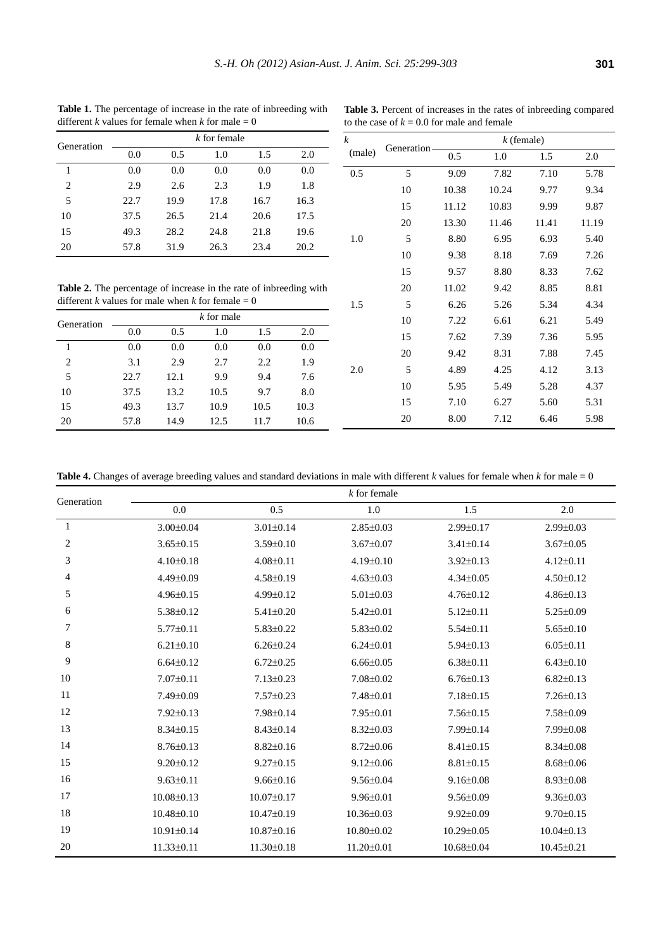**Table 1.** The percentage of increase in the rate of inbreeding with different *k* values for female when *k* for male  $= 0$ 

| <b>Table 3.</b> Percent of increases in the rates of inbreeding compared |  |
|--------------------------------------------------------------------------|--|
| to the case of $k = 0.0$ for male and female                             |  |

| Generation     |      |      | k for female |      |      |
|----------------|------|------|--------------|------|------|
|                | 0.0  | 0.5  | 1.0          | 1.5  | 2.0  |
| 1              | 0.0  | 0.0  | 0.0          | 0.0  | 0.0  |
| $\overline{c}$ | 2.9  | 2.6  | 2.3          | 1.9  | 1.8  |
| 5              | 22.7 | 19.9 | 17.8         | 16.7 | 16.3 |
| 10             | 37.5 | 26.5 | 21.4         | 20.6 | 17.5 |
| 15             | 49.3 | 28.2 | 24.8         | 21.8 | 19.6 |
| 20             | 57.8 | 31.9 | 26.3         | 23.4 | 20.2 |
|                |      |      |              |      |      |

**Table 2.** The percentage of increase in the rate of inbreeding with different *k* values for male when *k* for female  $= 0$ 

| Generation |      |      | $k$ for male |      |      |
|------------|------|------|--------------|------|------|
|            | 0.0  | 0.5  | 1.0          | 1.5  | 2.0  |
|            | 0.0  | 0.0  | 0.0          | 0.0  | 0.0  |
| 2          | 3.1  | 2.9  | 2.7          | 2.2  | 1.9  |
| 5          | 22.7 | 12.1 | 9.9          | 9.4  | 7.6  |
| 10         | 37.5 | 13.2 | 10.5         | 9.7  | 8.0  |
| 15         | 49.3 | 13.7 | 10.9         | 10.5 | 10.3 |
| 20         | 57.8 | 14.9 | 12.5         | 11.7 | 10.6 |

| k      | Generation | $k$ (female) |       |       |       |  |
|--------|------------|--------------|-------|-------|-------|--|
| (male) |            | 0.5          | 1.0   | 1.5   | 2.0   |  |
| 0.5    | 5          | 9.09         | 7.82  | 7.10  | 5.78  |  |
|        | 10         | 10.38        | 10.24 | 9.77  | 9.34  |  |
|        | 15         | 11.12        | 10.83 | 9.99  | 9.87  |  |
|        | 20         | 13.30        | 11.46 | 11.41 | 11.19 |  |
| 1.0    | 5          | 8.80         | 6.95  | 6.93  | 5.40  |  |
|        | 10         | 9.38         | 8.18  | 7.69  | 7.26  |  |
|        | 15         | 9.57         | 8.80  | 8.33  | 7.62  |  |
|        | 20         | 11.02        | 9.42  | 8.85  | 8.81  |  |
| 1.5    | 5          | 6.26         | 5.26  | 5.34  | 4.34  |  |
|        | 10         | 7.22         | 6.61  | 6.21  | 5.49  |  |
|        | 15         | 7.62         | 7.39  | 7.36  | 5.95  |  |
|        | 20         | 9.42         | 8.31  | 7.88  | 7.45  |  |
| 2.0    | 5          | 4.89         | 4.25  | 4.12  | 3.13  |  |
|        | 10         | 5.95         | 5.49  | 5.28  | 4.37  |  |
|        | 15         | 7.10         | 6.27  | 5.60  | 5.31  |  |
|        | 20         | 8.00         | 7.12  | 6.46  | 5.98  |  |

**Table 4.** Changes of average breeding values and standard deviations in male with different  $k$  values for female when  $k$  for male = 0

| Generation | $k$ for female   |                  |                  |                  |                  |  |  |
|------------|------------------|------------------|------------------|------------------|------------------|--|--|
|            | 0.0              | 0.5              | 1.0              | 1.5              | 2.0              |  |  |
| 1          | $3.00 \pm 0.04$  | $3.01 \pm 0.14$  | $2.85 \pm 0.03$  | $2.99 \pm 0.17$  | $2.99 \pm 0.03$  |  |  |
| 2          | $3.65 \pm 0.15$  | $3.59 \pm 0.10$  | $3.67 \pm 0.07$  | $3.41 \pm 0.14$  | $3.67 \pm 0.05$  |  |  |
| 3          | $4.10 \pm 0.18$  | $4.08 \pm 0.11$  | 4.19±0.10        | $3.92 \pm 0.13$  | $4.12 \pm 0.11$  |  |  |
| 4          | $4.49 \pm 0.09$  | $4.58 \pm 0.19$  | $4.63 \pm 0.03$  | $4.34 \pm 0.05$  | $4.50 \pm 0.12$  |  |  |
| 5          | $4.96 \pm 0.15$  | 4.99±0.12        | $5.01 \pm 0.03$  | $4.76 \pm 0.12$  | $4.86 \pm 0.13$  |  |  |
| 6          | 5.38±0.12        | $5.41 \pm 0.20$  | $5.42 \pm 0.01$  | $5.12 \pm 0.11$  | $5.25 \pm 0.09$  |  |  |
| 7          | $5.77 \pm 0.11$  | $5.83 \pm 0.22$  | $5.83 \pm 0.02$  | $5.54 \pm 0.11$  | $5.65 \pm 0.10$  |  |  |
| 8          | $6.21 \pm 0.10$  | $6.26 \pm 0.24$  | $6.24 \pm 0.01$  | $5.94 \pm 0.13$  | $6.05 \pm 0.11$  |  |  |
| 9          | $6.64 \pm 0.12$  | $6.72 \pm 0.25$  | $6.66 \pm 0.05$  | $6.38 \pm 0.11$  | $6.43 \pm 0.10$  |  |  |
| 10         | $7.07 \pm 0.11$  | $7.13 \pm 0.23$  | $7.08 \pm 0.02$  | $6.76 \pm 0.13$  | $6.82{\pm}0.13$  |  |  |
| 11         | 7.49±0.09        | $7.57 \pm 0.23$  | $7.48 \pm 0.01$  | $7.18 \pm 0.15$  | $7.26 \pm 0.13$  |  |  |
| 12         | $7.92 \pm 0.13$  | 7.98±0.14        | $7.95 \pm 0.01$  | $7.56 \pm 0.15$  | 7.58±0.09        |  |  |
| 13         | $8.34 \pm 0.15$  | $8.43 \pm 0.14$  | $8.32 \pm 0.03$  | 7.99±0.14        | 7.99±0.08        |  |  |
| 14         | $8.76 \pm 0.13$  | $8.82{\pm}0.16$  | $8.72 \pm 0.06$  | $8.41 \pm 0.15$  | $8.34 \pm 0.08$  |  |  |
| 15         | $9.20 \pm 0.12$  | $9.27 \pm 0.15$  | $9.12 \pm 0.06$  | $8.81 \pm 0.15$  | $8.68 \pm 0.06$  |  |  |
| 16         | $9.63 \pm 0.11$  | $9.66 \pm 0.16$  | $9.56 \pm 0.04$  | $9.16 \pm 0.08$  | $8.93 \pm 0.08$  |  |  |
| 17         | $10.08 \pm 0.13$ | $10.07 \pm 0.17$ | $9.96 \pm 0.01$  | $9.56 \pm 0.09$  | $9.36 \pm 0.03$  |  |  |
| 18         | $10.48 \pm 0.10$ | $10.47 \pm 0.19$ | $10.36 \pm 0.03$ | $9.92 \pm 0.09$  | $9.70 \pm 0.15$  |  |  |
| 19         | $10.91 \pm 0.14$ | $10.87 \pm 0.16$ | $10.80 \pm 0.02$ | $10.29 \pm 0.05$ | $10.04 \pm 0.13$ |  |  |
| 20         | $11.33 \pm 0.11$ | $11.30 \pm 0.18$ | $11.20 \pm 0.01$ | $10.68 \pm 0.04$ | $10.45 \pm 0.21$ |  |  |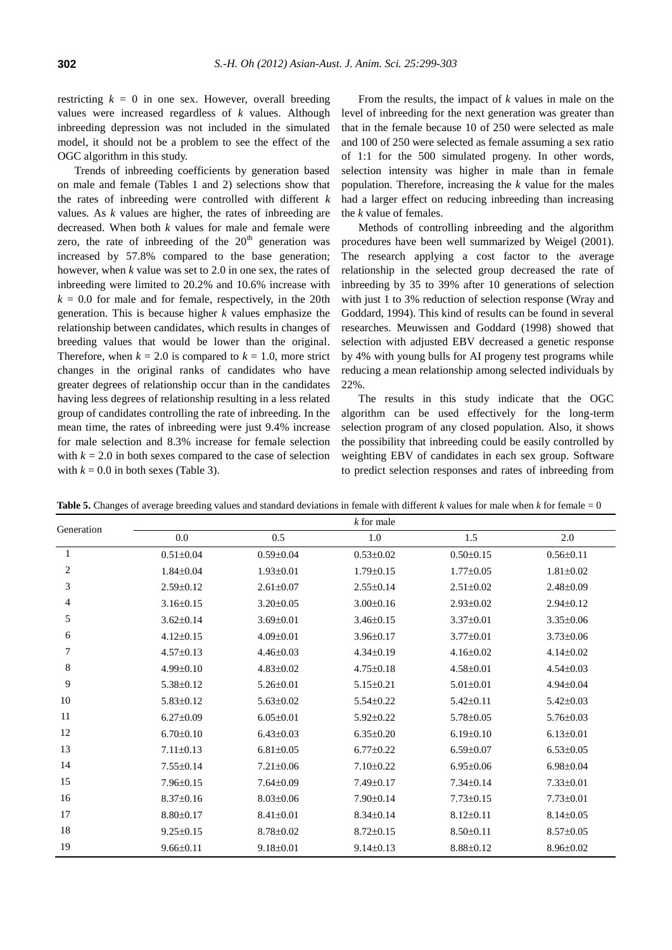restricting  $k = 0$  in one sex. However, overall breeding values were increased regardless of *k* values. Although inbreeding depression was not included in the simulated model, it should not be a problem to see the effect of the OGC algorithm in this study.

Trends of inbreeding coefficients by generation based on male and female (Tables 1 and 2) selections show that the rates of inbreeding were controlled with different *k* values. As *k* values are higher, the rates of inbreeding are decreased. When both *k* values for male and female were zero, the rate of inbreeding of the  $20<sup>th</sup>$  generation was increased by 57.8% compared to the base generation; however, when *k* value was set to 2.0 in one sex, the rates of inbreeding were limited to 20.2% and 10.6% increase with  $k = 0.0$  for male and for female, respectively, in the 20th generation. This is because higher *k* values emphasize the relationship between candidates, which results in changes of breeding values that would be lower than the original. Therefore, when  $k = 2.0$  is compared to  $k = 1.0$ , more strict changes in the original ranks of candidates who have greater degrees of relationship occur than in the candidates having less degrees of relationship resulting in a less related group of candidates controlling the rate of inbreeding. In the mean time, the rates of inbreeding were just 9.4% increase for male selection and 8.3% increase for female selection with  $k = 2.0$  in both sexes compared to the case of selection with  $k = 0.0$  in both sexes (Table 3).

From the results, the impact of *k* values in male on the level of inbreeding for the next generation was greater than that in the female because 10 of 250 were selected as male and 100 of 250 were selected as female assuming a sex ratio of 1:1 for the 500 simulated progeny. In other words, selection intensity was higher in male than in female population. Therefore, increasing the *k* value for the males had a larger effect on reducing inbreeding than increasing the *k* value of females.

Methods of controlling inbreeding and the algorithm procedures have been well summarized by Weigel (2001). The research applying a cost factor to the average relationship in the selected group decreased the rate of inbreeding by 35 to 39% after 10 generations of selection with just 1 to 3% reduction of selection response (Wray and Goddard, 1994). This kind of results can be found in several researches. Meuwissen and Goddard (1998) showed that selection with adjusted EBV decreased a genetic response by 4% with young bulls for AI progeny test programs while reducing a mean relationship among selected individuals by 22%.

The results in this study indicate that the OGC algorithm can be used effectively for the long-term selection program of any closed population. Also, it shows the possibility that inbreeding could be easily controlled by weighting EBV of candidates in each sex group. Software to predict selection responses and rates of inbreeding from

| Generation   | $k$ for male    |                 |                 |                 |                 |  |  |
|--------------|-----------------|-----------------|-----------------|-----------------|-----------------|--|--|
|              | 0.0             | 0.5             | 1.0             | 1.5             | 2.0             |  |  |
| $\mathbf{1}$ | $0.51 \pm 0.04$ | $0.59 \pm 0.04$ | $0.53 \pm 0.02$ | $0.50 \pm 0.15$ | $0.56 \pm 0.11$ |  |  |
| 2            | $1.84 \pm 0.04$ | $1.93 \pm 0.01$ | $1.79 \pm 0.15$ | $1.77 \pm 0.05$ | $1.81 \pm 0.02$ |  |  |
| 3            | $2.59 \pm 0.12$ | $2.61 \pm 0.07$ | $2.55 \pm 0.14$ | $2.51 \pm 0.02$ | $2.48 \pm 0.09$ |  |  |
| 4            | $3.16 \pm 0.15$ | $3.20 \pm 0.05$ | $3.00 \pm 0.16$ | $2.93 \pm 0.02$ | $2.94 \pm 0.12$ |  |  |
| 5            | $3.62 \pm 0.14$ | $3.69 \pm 0.01$ | $3.46 \pm 0.15$ | $3.37 \pm 0.01$ | $3.35 \pm 0.06$ |  |  |
| 6            | $4.12 \pm 0.15$ | $4.09 \pm 0.01$ | $3.96 \pm 0.17$ | $3.77 \pm 0.01$ | $3.73 \pm 0.06$ |  |  |
| 7            | $4.57 \pm 0.13$ | $4.46 \pm 0.03$ | $4.34\pm0.19$   | $4.16 \pm 0.02$ | $4.14 \pm 0.02$ |  |  |
| 8            | 4.99±0.10       | $4.83 \pm 0.02$ | $4.75 \pm 0.18$ | $4.58 \pm 0.01$ | $4.54 \pm 0.03$ |  |  |
| 9            | $5.38 \pm 0.12$ | $5.26 \pm 0.01$ | $5.15 \pm 0.21$ | $5.01 \pm 0.01$ | $4.94 \pm 0.04$ |  |  |
| 10           | $5.83 \pm 0.12$ | $5.63 \pm 0.02$ | $5.54 \pm 0.22$ | $5.42 \pm 0.11$ | $5.42 \pm 0.03$ |  |  |
| 11           | $6.27 \pm 0.09$ | $6.05 \pm 0.01$ | $5.92 \pm 0.22$ | $5.78 \pm 0.05$ | $5.76 \pm 0.03$ |  |  |
| 12           | $6.70 \pm 0.10$ | $6.43 \pm 0.03$ | $6.35 \pm 0.20$ | $6.19 \pm 0.10$ | $6.13 \pm 0.01$ |  |  |
| 13           | $7.11 \pm 0.13$ | $6.81 \pm 0.05$ | $6.77 \pm 0.22$ | $6.59 \pm 0.07$ | $6.53 \pm 0.05$ |  |  |
| 14           | $7.55 \pm 0.14$ | $7.21 \pm 0.06$ | $7.10 \pm 0.22$ | $6.95 \pm 0.06$ | $6.98 \pm 0.04$ |  |  |
| 15           | $7.96 \pm 0.15$ | $7.64 \pm 0.09$ | $7.49 \pm 0.17$ | $7.34 \pm 0.14$ | $7.33 \pm 0.01$ |  |  |
| 16           | $8.37 \pm 0.16$ | $8.03 \pm 0.06$ | 7.90±0.14       | $7.73 \pm 0.15$ | $7.73 \pm 0.01$ |  |  |
| 17           | $8.80 \pm 0.17$ | $8.41 \pm 0.01$ | $8.34 \pm 0.14$ | $8.12 \pm 0.11$ | $8.14 \pm 0.05$ |  |  |
| 18           | $9.25 \pm 0.15$ | $8.78 \pm 0.02$ | $8.72 \pm 0.15$ | $8.50 \pm 0.11$ | $8.57 \pm 0.05$ |  |  |
| 19           | $9.66 \pm 0.11$ | $9.18 \pm 0.01$ | $9.14 \pm 0.13$ | $8.88 \pm 0.12$ | $8.96 \pm 0.02$ |  |  |

**Table 5.** Changes of average breeding values and standard deviations in female with different *k* values for male when *k* for female = 0